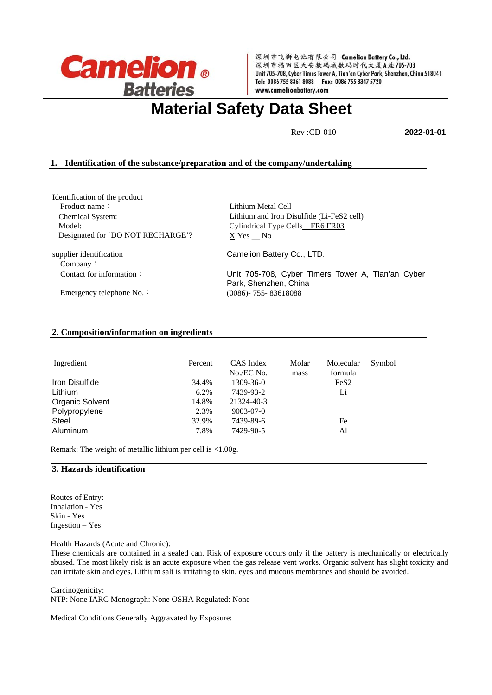

深圳市飞狮电池有限公司 Camelion Battery Co., Ltd. 深圳市福田区天安数码城数码时代大厦A座705-708 Unit 705-708, Cyber Times Tower A, Tian'an Cyber Park, Shenzhen, China 518041 Tel: 0086 755 8361 8088 Fax: 0086 755 8347 5720 www.camelionbattery.com

# **Material Safety Data Sheet**

**Rev** :CD-010 **2022-01-01** 

# **1. Identification of the substance/preparation and of the company/undertaking**

Identification of the product Product name: Chemical System: Model: Designated for 'DO NOT RECHARGE'? supplier identification

Company:

Lithium Metal Cell Lithium and Iron Disulfide (Li-FeS2 cell) Cylindrical Type Cells\_FR6 FR03 X Yes \_\_ No

Camelion Battery Co., LTD.

Contact for information: Unit 705-708, Cyber Timers Tower A, Tian'an Cyber Park, Shenzhen, China Emergency telephone No.: (0086)- 755- 83618088

# **2. Composition/information on ingredients**

| Ingredient      | Percent | CAS Index<br>No./EC No. | Molar<br>mass | Molecular<br>formula | Symbol |
|-----------------|---------|-------------------------|---------------|----------------------|--------|
| Iron Disulfide  | 34.4%   | $1309 - 36 - 0$         |               | FeS <sub>2</sub>     |        |
| Lithium         | 6.2%    | 7439-93-2               |               | Li                   |        |
| Organic Solvent | 14.8%   | 21324-40-3              |               |                      |        |
| Polypropylene   | 2.3%    | $9003 - 07 - 0$         |               |                      |        |
| Steel           | 32.9%   | 7439-89-6               |               | Fe                   |        |
| Aluminum        | 7.8%    | 7429-90-5               |               | Al                   |        |

Remark: The weight of metallic lithium per cell is <1.00g.

# **3. Hazards identification**

Routes of Entry: Inhalation - Yes Skin - Yes Ingestion – Yes

Health Hazards (Acute and Chronic):

These chemicals are contained in a sealed can. Risk of exposure occurs only if the battery is mechanically or electrically abused. The most likely risk is an acute exposure when the gas release vent works. Organic solvent has slight toxicity and can irritate skin and eyes. Lithium salt is irritating to skin, eyes and mucous membranes and should be avoided.

Carcinogenicity:

NTP: None IARC Monograph: None OSHA Regulated: None

Medical Conditions Generally Aggravated by Exposure: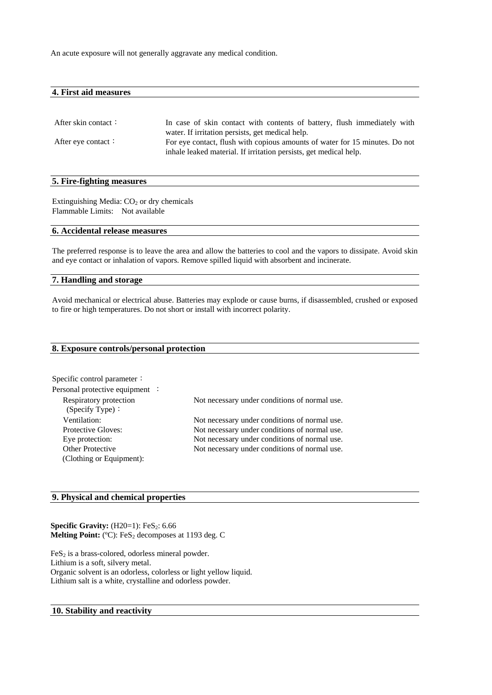An acute exposure will not generally aggravate any medical condition.

| 4. First aid measures |  |  |  |
|-----------------------|--|--|--|
|                       |  |  |  |
|                       |  |  |  |
|                       |  |  |  |

| After skin contact:       | In case of skin contact with contents of battery, flush immediately with    |
|---------------------------|-----------------------------------------------------------------------------|
|                           | water. If irritation persists, get medical help.                            |
| After eye contact $\cdot$ | For eye contact, flush with copious amounts of water for 15 minutes. Do not |
|                           | inhale leaked material. If irritation persists, get medical help.           |

#### **5. Fire-fighting measures**

Extinguishing Media:  $CO<sub>2</sub>$  or dry chemicals Flammable Limits: Not available

#### **6. Accidental release measures**

The preferred response is to leave the area and allow the batteries to cool and the vapors to dissipate. Avoid skin and eye contact or inhalation of vapors. Remove spilled liquid with absorbent and incinerate.

#### **7. Handling and storage**

Avoid mechanical or electrical abuse. Batteries may explode or cause burns, if disassembled, crushed or exposed to fire or high temperatures. Do not short or install with incorrect polarity.

| 8. Exposure controls/personal protection |  |
|------------------------------------------|--|
|------------------------------------------|--|

| Specific control parameter:     |                                               |
|---------------------------------|-----------------------------------------------|
| Personal protective equipment : |                                               |
| Respiratory protection          | Not necessary under conditions of normal use. |
| (Specify Type):                 |                                               |
| Ventilation:                    | Not necessary under conditions of normal use. |
| <b>Protective Gloves:</b>       | Not necessary under conditions of normal use. |
| Eye protection:                 | Not necessary under conditions of normal use. |
| Other Protective                | Not necessary under conditions of normal use. |
| (Clothing or Equipment):        |                                               |

# **9. Physical and chemical properties**

**Specific Gravity:** (H20=1): FeS<sub>2</sub>: 6.66 Melting Point: <sup>(°C</sup>): FeS<sub>2</sub> decomposes at 1193 deg. C

 $FeS<sub>2</sub>$  is a brass-colored, odorless mineral powder. Lithium is a soft, silvery metal. Organic solvent is an odorless, colorless or light yellow liquid. Lithium salt is a white, crystalline and odorless powder.

# **10. Stability and reactivity**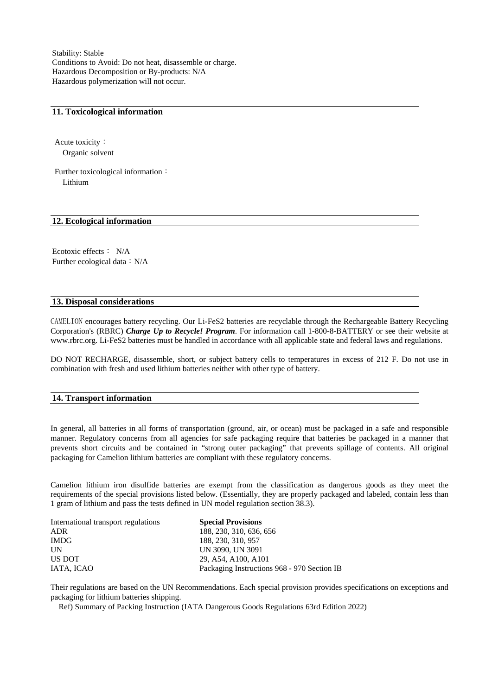Stability: Stable Conditions to Avoid: Do not heat, disassemble or charge. Hazardous Decomposition or By-products: N/A Hazardous polymerization will not occur.

#### **11. Toxicological information**

Acute toxicity: Organic solvent

Further toxicological information: Lithium

# **12. Ecological information**

Ecotoxic effects: N/A Further ecological data:  $N/A$ 

#### **13. Disposal considerations**

CAMELION encourages battery recycling. Our Li-FeS2 batteries are recyclable through the Rechargeable Battery Recycling Corporation's (RBRC) *Charge Up to Recycle! Program*. For information call 1-800-8-BATTERY or see their website at www.rbrc.org. Li-FeS2 batteries must be handled in accordance with all applicable state and federal laws and regulations.

DO NOT RECHARGE, disassemble, short, or subject battery cells to temperatures in excess of 212 F. Do not use in combination with fresh and used lithium batteries neither with other type of battery.

#### **14. Transport information**

In general, all batteries in all forms of transportation (ground, air, or ocean) must be packaged in a safe and responsible manner. Regulatory concerns from all agencies for safe packaging require that batteries be packaged in a manner that prevents short circuits and be contained in "strong outer packaging" that prevents spillage of contents. All original packaging for Camelion lithium batteries are compliant with these regulatory concerns.

Camelion lithium iron disulfide batteries are exempt from the classification as dangerous goods as they meet the requirements of the special provisions listed below. (Essentially, they are properly packaged and labeled, contain less than 1 gram of lithium and pass the tests defined in UN model regulation section 38.3).

| International transport regulations | <b>Special Provisions</b>                   |
|-------------------------------------|---------------------------------------------|
| ADR                                 | 188, 230, 310, 636, 656                     |
| <b>IMDG</b>                         | 188, 230, 310, 957                          |
| UN                                  | UN 3090, UN 3091                            |
| US DOT                              | 29, A54, A100, A101                         |
| IATA, ICAO                          | Packaging Instructions 968 - 970 Section IB |

Their regulations are based on the UN Recommendations. Each special provision provides specifications on exceptions and packaging for lithium batteries shipping.

Ref) Summary of Packing Instruction (IATA Dangerous Goods Regulations 63rd Edition 2022)